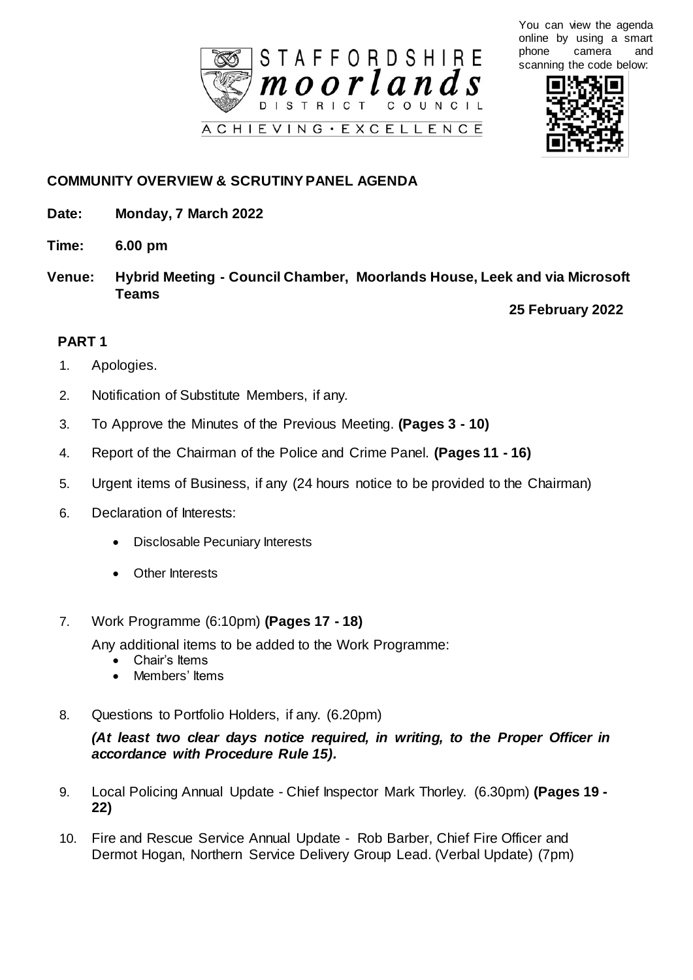

You can view the agenda online by using a smart phone camera and scanning the code below:



## **COMMUNITY OVERVIEW & SCRUTINY PANEL AGENDA**

- **Date: Monday, 7 March 2022**
- **Time: 6.00 pm**
- **Venue: Hybrid Meeting - Council Chamber, Moorlands House, Leek and via Microsoft Teams**

**25 February 2022**

## **PART 1**

- 1. Apologies.
- 2. Notification of Substitute Members, if any.
- 3. To Approve the Minutes of the Previous Meeting. **(Pages 3 - 10)**
- 4. Report of the Chairman of the Police and Crime Panel. **(Pages 11 - 16)**
- 5. Urgent items of Business, if any (24 hours notice to be provided to the Chairman)
- 6. Declaration of Interests:
	- Disclosable Pecuniary Interests
	- Other Interests
- 7. Work Programme (6:10pm) **(Pages 17 - 18)**

Any additional items to be added to the Work Programme:

- Chair's Items
- Members' Items
- 8. Questions to Portfolio Holders, if any. (6.20pm)

*(At least two clear days notice required, in writing, to the Proper Officer in accordance with Procedure Rule 15).*

- 9. Local Policing Annual Update Chief Inspector Mark Thorley. (6.30pm) **(Pages 19 - 22)**
- 10. Fire and Rescue Service Annual Update Rob Barber, Chief Fire Officer and Dermot Hogan, Northern Service Delivery Group Lead. (Verbal Update) (7pm)